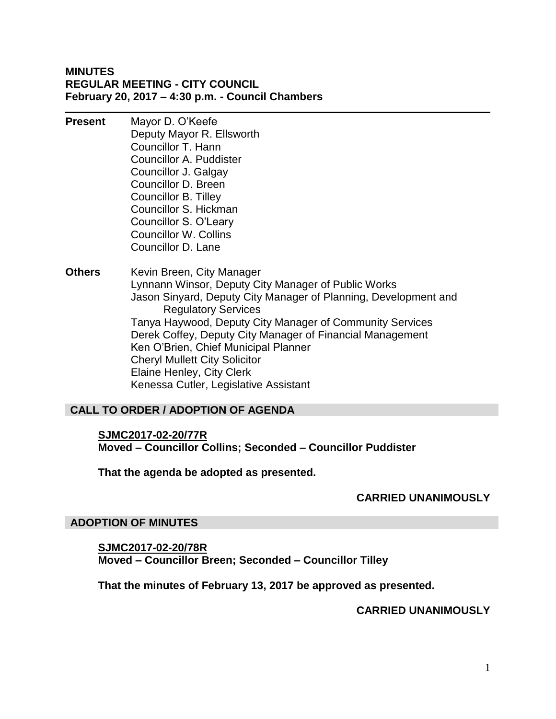## **MINUTES REGULAR MEETING - CITY COUNCIL February 20, 2017 – 4:30 p.m. - Council Chambers**

**Present** Mayor D. O'Keefe Deputy Mayor R. Ellsworth Councillor T. Hann Councillor A. Puddister Councillor J. Galgay Councillor D. Breen Councillor B. Tilley Councillor S. Hickman Councillor S. O'Leary Councillor W. Collins Councillor D. Lane

**Others** Kevin Breen, City Manager Lynnann Winsor, Deputy City Manager of Public Works Jason Sinyard, Deputy City Manager of Planning, Development and Regulatory Services Tanya Haywood, Deputy City Manager of Community Services Derek Coffey, Deputy City Manager of Financial Management Ken O'Brien, Chief Municipal Planner Cheryl Mullett City Solicitor Elaine Henley, City Clerk Kenessa Cutler, Legislative Assistant

## **CALL TO ORDER / ADOPTION OF AGENDA**

# **SJMC2017-02-20/77R Moved – Councillor Collins; Seconded – Councillor Puddister**

**That the agenda be adopted as presented.**

## **CARRIED UNANIMOUSLY**

#### **ADOPTION OF MINUTES**

**SJMC2017-02-20/78R Moved – Councillor Breen; Seconded – Councillor Tilley**

**That the minutes of February 13, 2017 be approved as presented.**

## **CARRIED UNANIMOUSLY**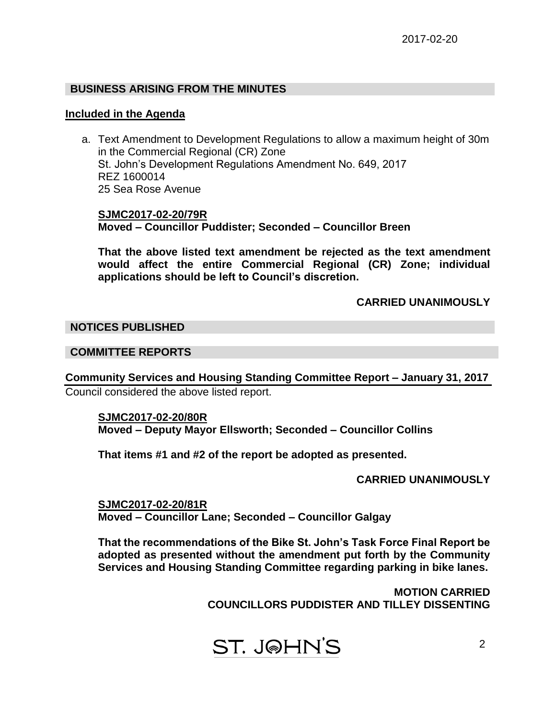## **BUSINESS ARISING FROM THE MINUTES**

#### **Included in the Agenda**

a. Text Amendment to Development Regulations to allow a maximum height of 30m in the Commercial Regional (CR) Zone St. John's Development Regulations Amendment No. 649, 2017 REZ 1600014 25 Sea Rose Avenue

**SJMC2017-02-20/79R Moved – Councillor Puddister; Seconded – Councillor Breen**

**That the above listed text amendment be rejected as the text amendment would affect the entire Commercial Regional (CR) Zone; individual applications should be left to Council's discretion.**

## **CARRIED UNANIMOUSLY**

#### **NOTICES PUBLISHED**

## **COMMITTEE REPORTS**

**Community Services and Housing Standing Committee Report – January 31, 2017** Council considered the above listed report.

#### **SJMC2017-02-20/80R**

**Moved – Deputy Mayor Ellsworth; Seconded – Councillor Collins**

**That items #1 and #2 of the report be adopted as presented.**

## **CARRIED UNANIMOUSLY**

**SJMC2017-02-20/81R Moved – Councillor Lane; Seconded – Councillor Galgay**

**That the recommendations of the Bike St. John's Task Force Final Report be adopted as presented without the amendment put forth by the Community Services and Housing Standing Committee regarding parking in bike lanes.**

> **MOTION CARRIED COUNCILLORS PUDDISTER AND TILLEY DISSENTING**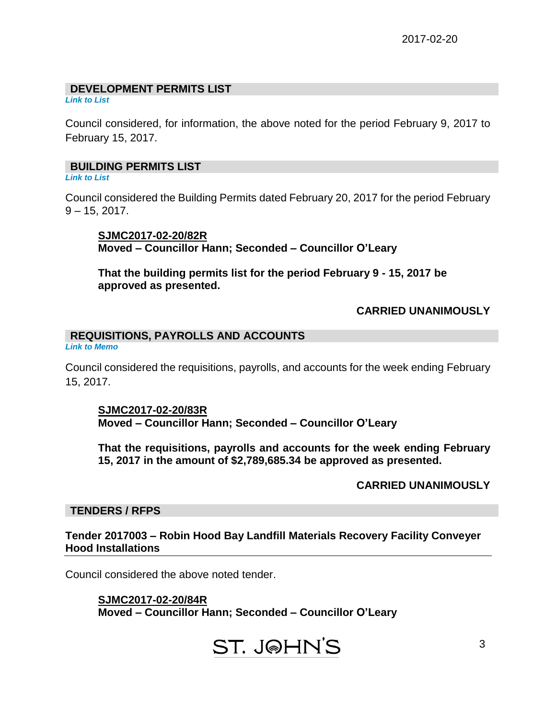## **DEVELOPMENT PERMITS LIST**

*Link to List*

Council considered, for information, the above noted for the period February 9, 2017 to February 15, 2017.

# **BUILDING PERMITS LIST**

*Link to List*

Council considered the Building Permits dated February 20, 2017 for the period February  $9 - 15$ , 2017.

**SJMC2017-02-20/82R Moved – Councillor Hann; Seconded – Councillor O'Leary**

**That the building permits list for the period February 9 - 15, 2017 be approved as presented.**

# **CARRIED UNANIMOUSLY**

## **REQUISITIONS, PAYROLLS AND ACCOUNTS**

*Link to Memo*

Council considered the requisitions, payrolls, and accounts for the week ending February 15, 2017.

#### **SJMC2017-02-20/83R**

**Moved – Councillor Hann; Seconded – Councillor O'Leary**

**That the requisitions, payrolls and accounts for the week ending February 15, 2017 in the amount of \$2,789,685.34 be approved as presented.**

# **CARRIED UNANIMOUSLY**

## **TENDERS / RFPS**

**Tender 2017003 – Robin Hood Bay Landfill Materials Recovery Facility Conveyer Hood Installations**

Council considered the above noted tender.

# **SJMC2017-02-20/84R**

**Moved – Councillor Hann; Seconded – Councillor O'Leary**